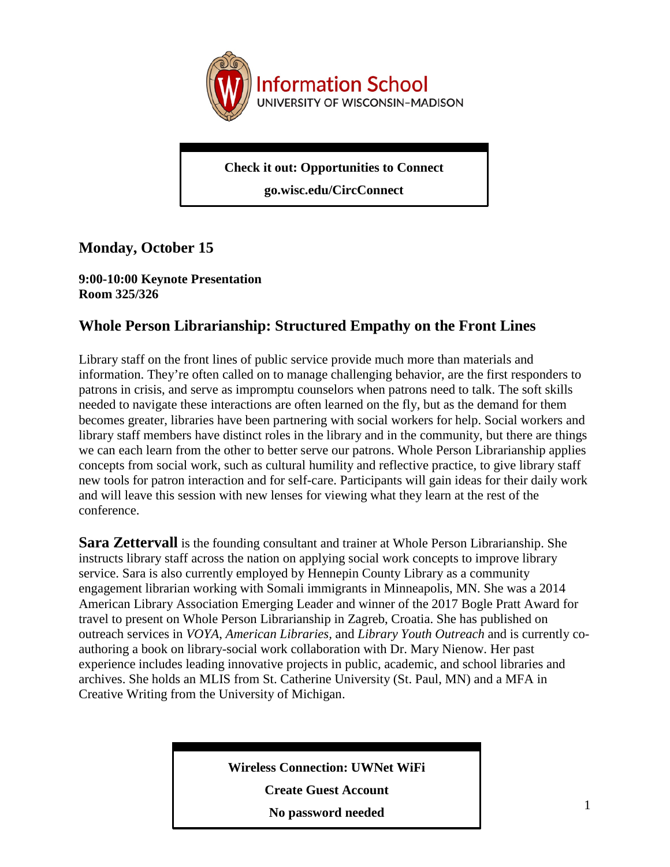

**Check it out: Opportunities to Connect**

**go.wisc.edu/CircConnect**

# **Monday, October 15**

### **9:00-10:00 Keynote Presentation Room 325/326**

# **Whole Person Librarianship: Structured Empathy on the Front Lines**

Library staff on the front lines of public service provide much more than materials and information. They're often called on to manage challenging behavior, are the first responders to patrons in crisis, and serve as impromptu counselors when patrons need to talk. The soft skills needed to navigate these interactions are often learned on the fly, but as the demand for them becomes greater, libraries have been partnering with social workers for help. Social workers and library staff members have distinct roles in the library and in the community, but there are things we can each learn from the other to better serve our patrons. Whole Person Librarianship applies concepts from social work, such as cultural humility and reflective practice, to give library staff new tools for patron interaction and for self-care. Participants will gain ideas for their daily work and will leave this session with new lenses for viewing what they learn at the rest of the conference.

**Sara Zettervall** is the founding consultant and trainer at Whole Person Librarianship. She instructs library staff across the nation on applying social work concepts to improve library service. Sara is also currently employed by Hennepin County Library as a community engagement librarian working with Somali immigrants in Minneapolis, MN. She was a 2014 American Library Association Emerging Leader and winner of the 2017 Bogle Pratt Award for travel to present on Whole Person Librarianship in Zagreb, Croatia. She has published on outreach services in *VOYA*, *American Libraries,* and *Library Youth Outreach* and is currently coauthoring a book on library-social work collaboration with Dr. Mary Nienow. Her past experience includes leading innovative projects in public, academic, and school libraries and archives. She holds an MLIS from St. Catherine University (St. Paul, MN) and a MFA in Creative Writing from the University of Michigan.

**Wireless Connection: UWNet WiFi**

**Create Guest Account**

**No password needed**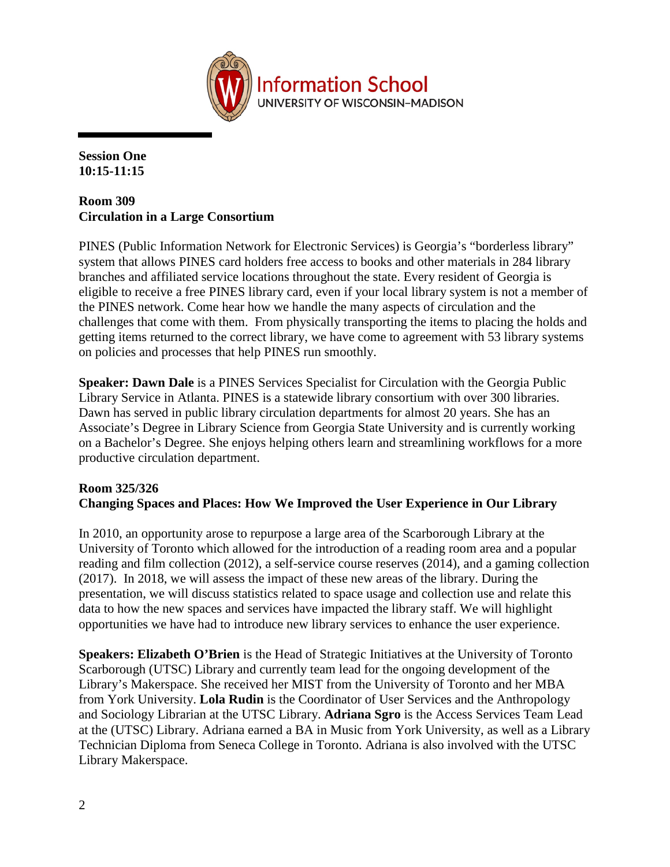

**Session One 10:15-11:15**

# **Room 309 Circulation in a Large Consortium**

PINES (Public Information Network for Electronic Services) is Georgia's "borderless library" system that allows PINES card holders free access to books and other materials in 284 library branches and affiliated service locations throughout the state. Every resident of Georgia is eligible to receive a free PINES library card, even if your local library system is not a member of the PINES network. Come hear how we handle the many aspects of circulation and the challenges that come with them. From physically transporting the items to placing the holds and getting items returned to the correct library, we have come to agreement with 53 library systems on policies and processes that help PINES run smoothly.

**Speaker: Dawn Dale** is a PINES Services Specialist for Circulation with the Georgia Public Library Service in Atlanta. PINES is a statewide library consortium with over 300 libraries. Dawn has served in public library circulation departments for almost 20 years. She has an Associate's Degree in Library Science from Georgia State University and is currently working on a Bachelor's Degree. She enjoys helping others learn and streamlining workflows for a more productive circulation department.

# **Room 325/326**

### **Changing Spaces and Places: How We Improved the User Experience in Our Library**

In 2010, an opportunity arose to repurpose a large area of the Scarborough Library at the University of Toronto which allowed for the introduction of a reading room area and a popular reading and film collection (2012), a self-service course reserves (2014), and a gaming collection (2017). In 2018, we will assess the impact of these new areas of the library. During the presentation, we will discuss statistics related to space usage and collection use and relate this data to how the new spaces and services have impacted the library staff. We will highlight opportunities we have had to introduce new library services to enhance the user experience.

**Speakers: Elizabeth O'Brien** is the Head of Strategic Initiatives at the University of Toronto Scarborough (UTSC) Library and currently team lead for the ongoing development of the Library's Makerspace. She received her MIST from the University of Toronto and her MBA from York University. **Lola Rudin** is the Coordinator of User Services and the Anthropology and Sociology Librarian at the UTSC Library. **Adriana Sgro** is the Access Services Team Lead at the (UTSC) Library. Adriana earned a BA in Music from York University, as well as a Library Technician Diploma from Seneca College in Toronto. Adriana is also involved with the UTSC Library Makerspace.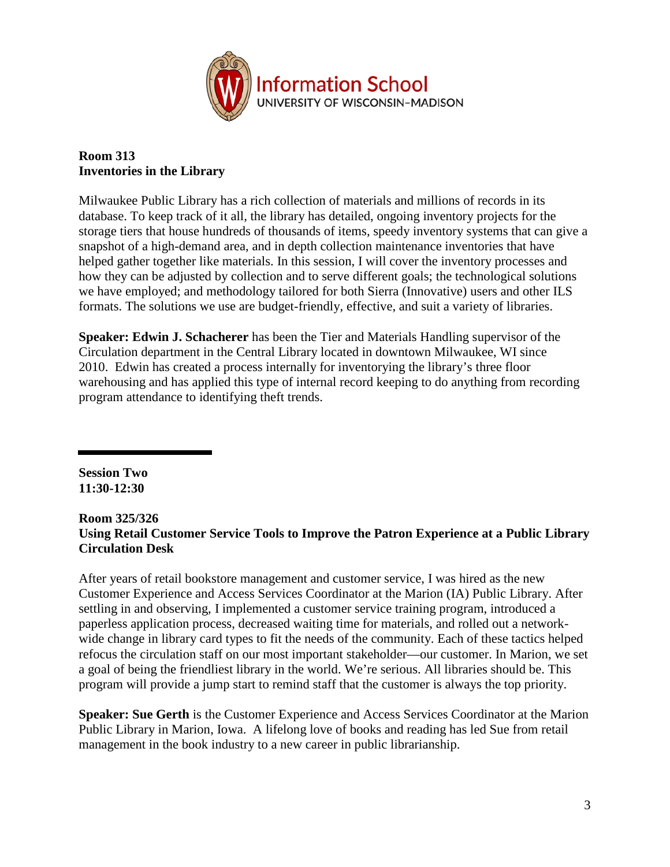

### **Room 313 Inventories in the Library**

Milwaukee Public Library has a rich collection of materials and millions of records in its database. To keep track of it all, the library has detailed, ongoing inventory projects for the storage tiers that house hundreds of thousands of items, speedy inventory systems that can give a snapshot of a high-demand area, and in depth collection maintenance inventories that have helped gather together like materials. In this session, I will cover the inventory processes and how they can be adjusted by collection and to serve different goals; the technological solutions we have employed; and methodology tailored for both Sierra (Innovative) users and other ILS formats. The solutions we use are budget-friendly, effective, and suit a variety of libraries.

**Speaker: Edwin J. Schacherer** has been the Tier and Materials Handling supervisor of the Circulation department in the Central Library located in downtown Milwaukee, WI since 2010. Edwin has created a process internally for inventorying the library's three floor warehousing and has applied this type of internal record keeping to do anything from recording program attendance to identifying theft trends.

**Session Two 11:30-12:30**

# **Room 325/326 Using Retail Customer Service Tools to Improve the Patron Experience at a Public Library Circulation Desk**

After years of retail bookstore management and customer service, I was hired as the new Customer Experience and Access Services Coordinator at the Marion (IA) Public Library. After settling in and observing, I implemented a customer service training program, introduced a paperless application process, decreased waiting time for materials, and rolled out a networkwide change in library card types to fit the needs of the community. Each of these tactics helped refocus the circulation staff on our most important stakeholder—our customer. In Marion, we set a goal of being the friendliest library in the world. We're serious. All libraries should be. This program will provide a jump start to remind staff that the customer is always the top priority.

**Speaker: Sue Gerth** is the Customer Experience and Access Services Coordinator at the Marion Public Library in Marion, Iowa. A lifelong love of books and reading has led Sue from retail management in the book industry to a new career in public librarianship.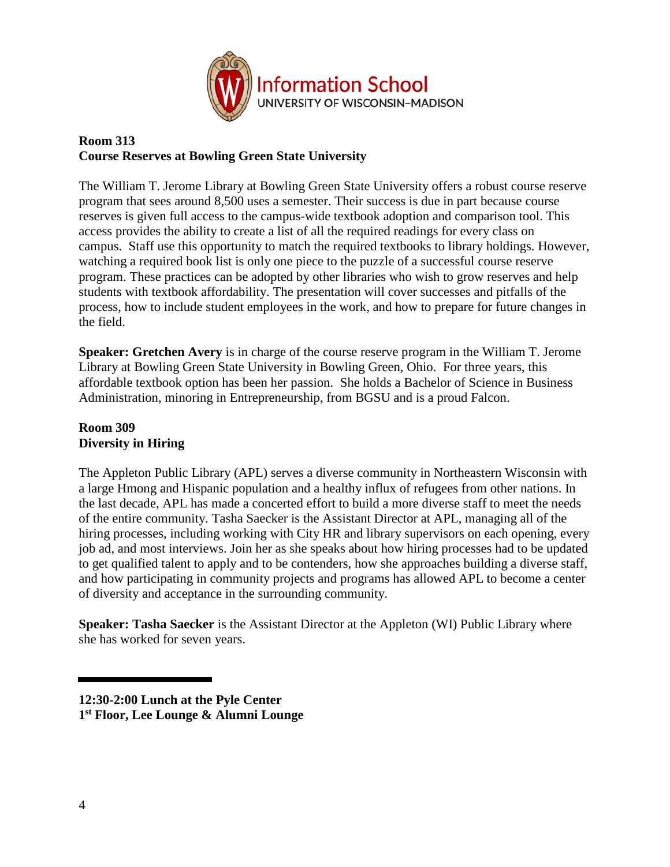

# **Room 313 Course Reserves at Bowling Green State University**

The William T. Jerome Library at Bowling Green State University offers a robust course reserve program that sees around 8,500 uses a semester. Their success is due in part because course reserves is given full access to the campus-wide textbook adoption and comparison tool. This access provides the ability to create a list of all the required readings for every class on campus. Staff use this opportunity to match the required textbooks to library holdings. However, watching a required book list is only one piece to the puzzle of a successful course reserve program. These practices can be adopted by other libraries who wish to grow reserves and help students with textbook affordability. The presentation will cover successes and pitfalls of the process, how to include student employees in the work, and how to prepare for future changes in the field.

**Speaker: Gretchen Avery** is in charge of the course reserve program in the William T. Jerome Library at Bowling Green State University in Bowling Green, Ohio. For three years, this affordable textbook option has been her passion. She holds a Bachelor of Science in Business Administration, minoring in Entrepreneurship, from BGSU and is a proud Falcon.

# **Room 309 Diversity in Hiring**

The Appleton Public Library (APL) serves a diverse community in Northeastern Wisconsin with a large Hmong and Hispanic population and a healthy influx of refugees from other nations. In the last decade, APL has made a concerted effort to build a more diverse staff to meet the needs of the entire community. Tasha Saecker is the Assistant Director at APL, managing all of the hiring processes, including working with City HR and library supervisors on each opening, every job ad, and most interviews. Join her as she speaks about how hiring processes had to be updated to get qualified talent to apply and to be contenders, how she approaches building a diverse staff, and how participating in community projects and programs has allowed APL to become a center of diversity and acceptance in the surrounding community.

**Speaker: Tasha Saecker** is the Assistant Director at the Appleton (WI) Public Library where she has worked for seven years.

**<sup>12:30-2:00</sup> Lunch at the Pyle Center 1st Floor, Lee Lounge & Alumni Lounge**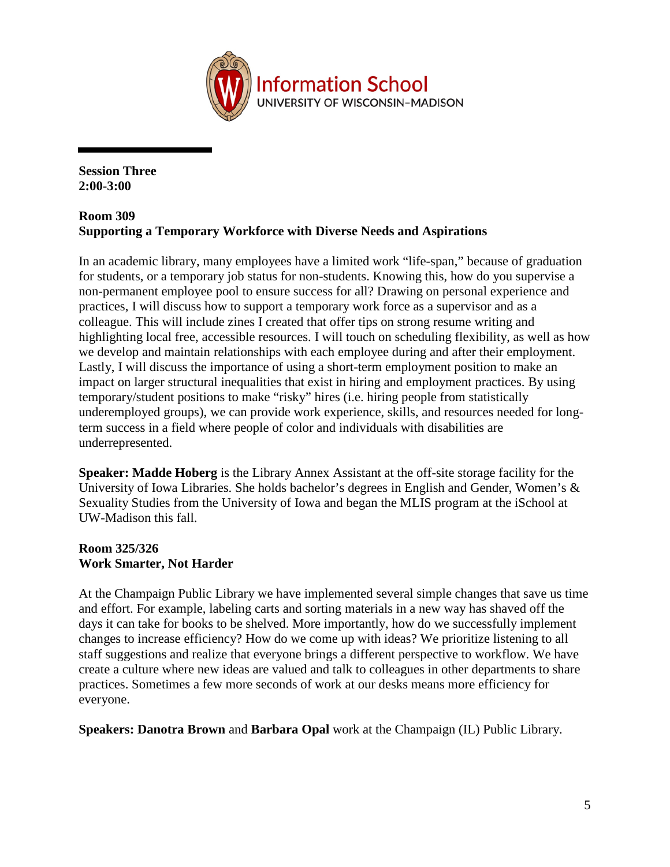

**Session Three 2:00-3:00**

### **Room 309 Supporting a Temporary Workforce with Diverse Needs and Aspirations**

In an academic library, many employees have a limited work "life-span," because of graduation for students, or a temporary job status for non-students. Knowing this, how do you supervise a non-permanent employee pool to ensure success for all? Drawing on personal experience and practices, I will discuss how to support a temporary work force as a supervisor and as a colleague. This will include zines I created that offer tips on strong resume writing and highlighting local free, accessible resources. I will touch on scheduling flexibility, as well as how we develop and maintain relationships with each employee during and after their employment. Lastly, I will discuss the importance of using a short-term employment position to make an impact on larger structural inequalities that exist in hiring and employment practices. By using temporary/student positions to make "risky" hires (i.e. hiring people from statistically underemployed groups), we can provide work experience, skills, and resources needed for longterm success in a field where people of color and individuals with disabilities are underrepresented.

**Speaker: Madde Hoberg** is the Library Annex Assistant at the off-site storage facility for the University of Iowa Libraries. She holds bachelor's degrees in English and Gender, Women's & Sexuality Studies from the University of Iowa and began the MLIS program at the iSchool at UW-Madison this fall.

# **Room 325/326 Work Smarter, Not Harder**

At the Champaign Public Library we have implemented several simple changes that save us time and effort. For example, labeling carts and sorting materials in a new way has shaved off the days it can take for books to be shelved. More importantly, how do we successfully implement changes to increase efficiency? How do we come up with ideas? We prioritize listening to all staff suggestions and realize that everyone brings a different perspective to workflow. We have create a culture where new ideas are valued and talk to colleagues in other departments to share practices. Sometimes a few more seconds of work at our desks means more efficiency for everyone.

**Speakers: Danotra Brown** and **Barbara Opal** work at the Champaign (IL) Public Library.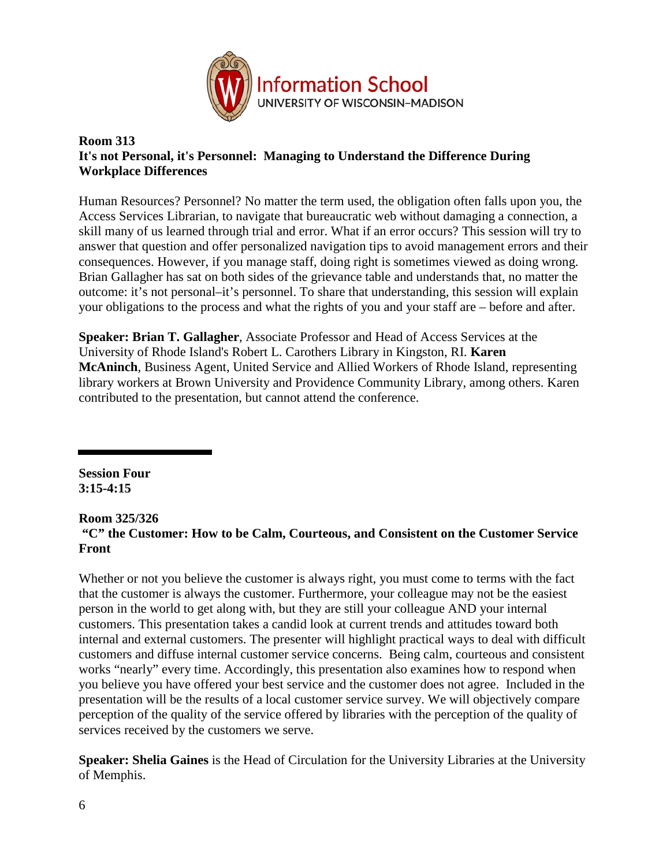

### **Room 313 It's not Personal, it's Personnel: Managing to Understand the Difference During Workplace Differences**

Human Resources? Personnel? No matter the term used, the obligation often falls upon you, the Access Services Librarian, to navigate that bureaucratic web without damaging a connection, a skill many of us learned through trial and error. What if an error occurs? This session will try to answer that question and offer personalized navigation tips to avoid management errors and their consequences. However, if you manage staff, doing right is sometimes viewed as doing wrong. Brian Gallagher has sat on both sides of the grievance table and understands that, no matter the outcome: it's not personal–it's personnel. To share that understanding, this session will explain your obligations to the process and what the rights of you and your staff are – before and after.

**Speaker: Brian T. Gallagher**, Associate Professor and Head of Access Services at the University of Rhode Island's Robert L. Carothers Library in Kingston, RI. **Karen McAninch**, Business Agent, United Service and Allied Workers of Rhode Island, representing library workers at Brown University and Providence Community Library, among others. Karen contributed to the presentation, but cannot attend the conference.

**Session Four 3:15-4:15**

#### **Room 325/326**

# **"C" the Customer: How to be Calm, Courteous, and Consistent on the Customer Service Front**

Whether or not you believe the customer is always right, you must come to terms with the fact that the customer is always the customer. Furthermore, your colleague may not be the easiest person in the world to get along with, but they are still your colleague AND your internal customers. This presentation takes a candid look at current trends and attitudes toward both internal and external customers. The presenter will highlight practical ways to deal with difficult customers and diffuse internal customer service concerns. Being calm, courteous and consistent works "nearly" every time. Accordingly, this presentation also examines how to respond when you believe you have offered your best service and the customer does not agree. Included in the presentation will be the results of a local customer service survey. We will objectively compare perception of the quality of the service offered by libraries with the perception of the quality of services received by the customers we serve.

**Speaker: Shelia Gaines** is the Head of Circulation for the University Libraries at the University of Memphis.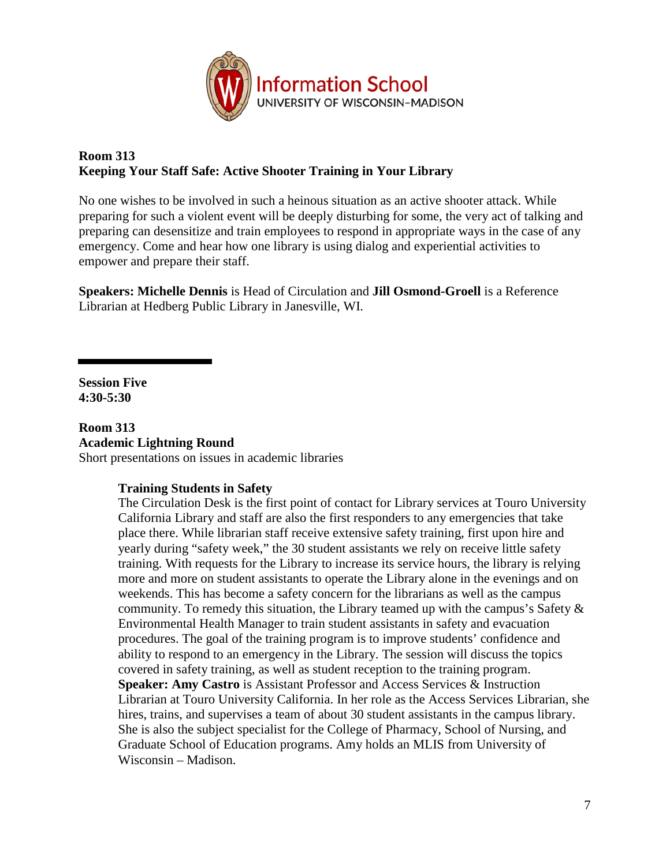

# **Room 313 Keeping Your Staff Safe: Active Shooter Training in Your Library**

No one wishes to be involved in such a heinous situation as an active shooter attack. While preparing for such a violent event will be deeply disturbing for some, the very act of talking and preparing can desensitize and train employees to respond in appropriate ways in the case of any emergency. Come and hear how one library is using dialog and experiential activities to empower and prepare their staff.

**Speakers: Michelle Dennis** is Head of Circulation and **Jill Osmond-Groell** is a Reference Librarian at Hedberg Public Library in Janesville, WI.

**Session Five 4:30-5:30**

**Room 313 Academic Lightning Round** Short presentations on issues in academic libraries

# **Training Students in Safety**

The Circulation Desk is the first point of contact for Library services at Touro University California Library and staff are also the first responders to any emergencies that take place there. While librarian staff receive extensive safety training, first upon hire and yearly during "safety week," the 30 student assistants we rely on receive little safety training. With requests for the Library to increase its service hours, the library is relying more and more on student assistants to operate the Library alone in the evenings and on weekends. This has become a safety concern for the librarians as well as the campus community. To remedy this situation, the Library teamed up with the campus's Safety & Environmental Health Manager to train student assistants in safety and evacuation procedures. The goal of the training program is to improve students' confidence and ability to respond to an emergency in the Library. The session will discuss the topics covered in safety training, as well as student reception to the training program. **Speaker: Amy Castro** is Assistant Professor and Access Services & Instruction Librarian at Touro University California. In her role as the Access Services Librarian, she hires, trains, and supervises a team of about 30 student assistants in the campus library. She is also the subject specialist for the College of Pharmacy, School of Nursing, and Graduate School of Education programs. Amy holds an MLIS from University of Wisconsin – Madison.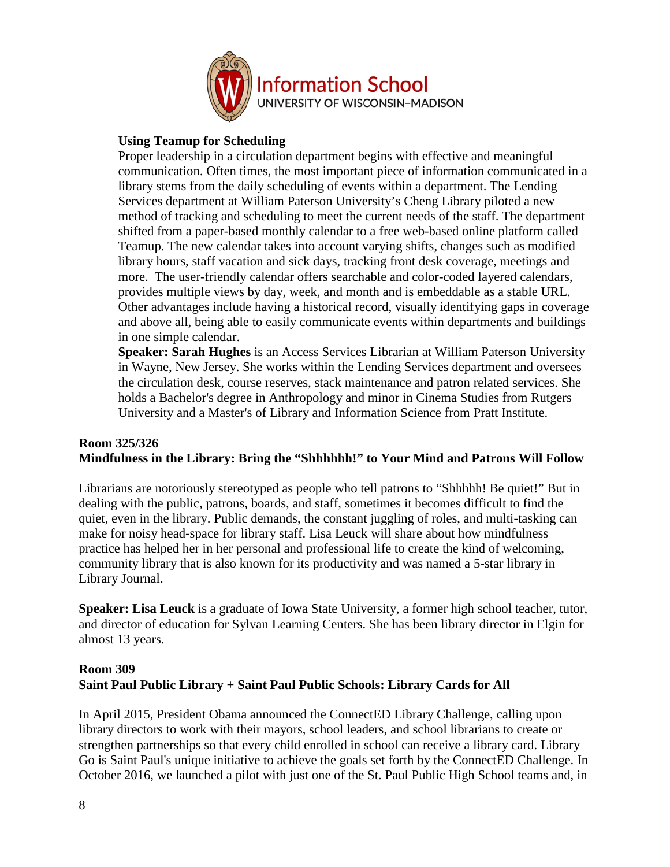

### **Using Teamup for Scheduling**

Proper leadership in a circulation department begins with effective and meaningful communication. Often times, the most important piece of information communicated in a library stems from the daily scheduling of events within a department. The Lending Services department at William Paterson University's Cheng Library piloted a new method of tracking and scheduling to meet the current needs of the staff. The department shifted from a paper-based monthly calendar to a free web-based online platform called Teamup. The new calendar takes into account varying shifts, changes such as modified library hours, staff vacation and sick days, tracking front desk coverage, meetings and more. The user-friendly calendar offers searchable and color-coded layered calendars, provides multiple views by day, week, and month and is embeddable as a stable URL. Other advantages include having a historical record, visually identifying gaps in coverage and above all, being able to easily communicate events within departments and buildings in one simple calendar.

**Speaker: Sarah Hughes** is an Access Services Librarian at William Paterson University in Wayne, New Jersey. She works within the Lending Services department and oversees the circulation desk, course reserves, stack maintenance and patron related services. She holds a Bachelor's degree in Anthropology and minor in Cinema Studies from Rutgers University and a Master's of Library and Information Science from Pratt Institute.

# **Room 325/326 Mindfulness in the Library: Bring the "Shhhhhh!" to Your Mind and Patrons Will Follow**

Librarians are notoriously stereotyped as people who tell patrons to "Shhhhh! Be quiet!" But in dealing with the public, patrons, boards, and staff, sometimes it becomes difficult to find the quiet, even in the library. Public demands, the constant juggling of roles, and multi-tasking can make for noisy head-space for library staff. Lisa Leuck will share about how mindfulness practice has helped her in her personal and professional life to create the kind of welcoming, community library that is also known for its productivity and was named a 5-star library in Library Journal.

**Speaker: Lisa Leuck** is a graduate of Iowa State University, a former high school teacher, tutor, and director of education for Sylvan Learning Centers. She has been library director in Elgin for almost 13 years.

# **Room 309 Saint Paul Public Library + Saint Paul Public Schools: Library Cards for All**

In April 2015, President Obama announced the ConnectED Library Challenge, calling upon library directors to work with their mayors, school leaders, and school librarians to create or strengthen partnerships so that every child enrolled in school can receive a library card. Library Go is Saint Paul's unique initiative to achieve the goals set forth by the ConnectED Challenge. In October 2016, we launched a pilot with just one of the St. Paul Public High School teams and, in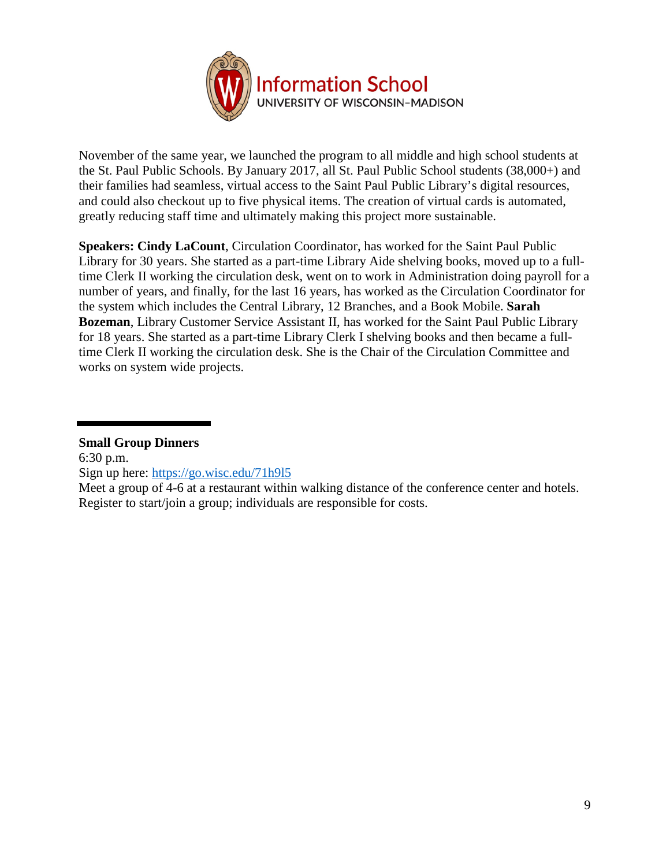

November of the same year, we launched the program to all middle and high school students at the St. Paul Public Schools. By January 2017, all St. Paul Public School students (38,000+) and their families had seamless, virtual access to the Saint Paul Public Library's digital resources, and could also checkout up to five physical items. The creation of virtual cards is automated, greatly reducing staff time and ultimately making this project more sustainable.

**Speakers: Cindy LaCount**, Circulation Coordinator, has worked for the Saint Paul Public Library for 30 years. She started as a part-time Library Aide shelving books, moved up to a fulltime Clerk II working the circulation desk, went on to work in Administration doing payroll for a number of years, and finally, for the last 16 years, has worked as the Circulation Coordinator for the system which includes the Central Library, 12 Branches, and a Book Mobile. **Sarah Bozeman**, Library Customer Service Assistant II, has worked for the Saint Paul Public Library for 18 years. She started as a part-time Library Clerk I shelving books and then became a fulltime Clerk II working the circulation desk. She is the Chair of the Circulation Committee and works on system wide projects.

### **Small Group Dinners**

6:30 p.m.

Sign up here: [https://go.wisc.edu/71h9l5](http://r20.rs6.net/tn.jsp?t=6jvvtn6ab.0.0.sgnn6aeab.0&id=preview&r=3&p=https%3A%2F%2Fgo.wisc.edu%2F71h9l5)

Meet a group of 4-6 at a restaurant within walking distance of the conference center and hotels. Register to start/join a group; individuals are responsible for costs.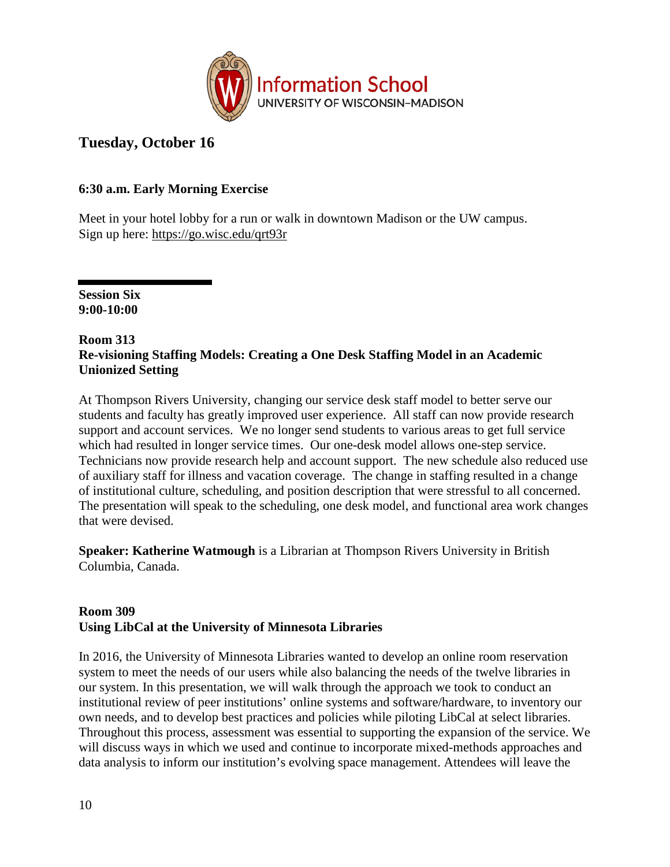

# **Tuesday, October 16**

# **6:30 a.m. Early Morning Exercise**

Meet in your hotel lobby for a run or walk in downtown Madison or the UW campus. Sign up here: [https://go.wisc.edu/qrt93r](http://r20.rs6.net/tn.jsp?t=6jvvtn6ab.0.0.sgnn6aeab.0&id=preview&r=3&p=https%3A%2F%2Fgo.wisc.edu%2Fqrt93r)

**Session Six 9:00-10:00**

#### **Room 313 Re-visioning Staffing Models: Creating a One Desk Staffing Model in an Academic Unionized Setting**

At Thompson Rivers University, changing our service desk staff model to better serve our students and faculty has greatly improved user experience. All staff can now provide research support and account services. We no longer send students to various areas to get full service which had resulted in longer service times. Our one-desk model allows one-step service. Technicians now provide research help and account support. The new schedule also reduced use of auxiliary staff for illness and vacation coverage. The change in staffing resulted in a change of institutional culture, scheduling, and position description that were stressful to all concerned. The presentation will speak to the scheduling, one desk model, and functional area work changes that were devised.

**Speaker: Katherine Watmough** is a Librarian at Thompson Rivers University in British Columbia, Canada.

# **Room 309 Using LibCal at the University of Minnesota Libraries**

In 2016, the University of Minnesota Libraries wanted to develop an online room reservation system to meet the needs of our users while also balancing the needs of the twelve libraries in our system. In this presentation, we will walk through the approach we took to conduct an institutional review of peer institutions' online systems and software/hardware, to inventory our own needs, and to develop best practices and policies while piloting LibCal at select libraries. Throughout this process, assessment was essential to supporting the expansion of the service. We will discuss ways in which we used and continue to incorporate mixed-methods approaches and data analysis to inform our institution's evolving space management. Attendees will leave the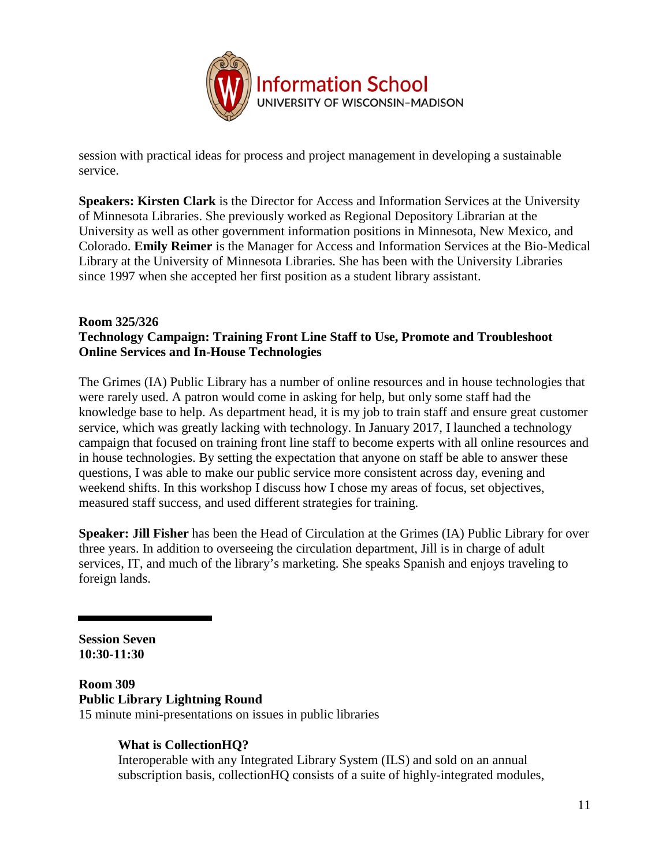

session with practical ideas for process and project management in developing a sustainable service.

**Speakers: Kirsten Clark** is the Director for Access and Information Services at the University of Minnesota Libraries. She previously worked as Regional Depository Librarian at the University as well as other government information positions in Minnesota, New Mexico, and Colorado. **Emily Reimer** is the Manager for Access and Information Services at the Bio-Medical Library at the University of Minnesota Libraries. She has been with the University Libraries since 1997 when she accepted her first position as a student library assistant.

### **Room 325/326 Technology Campaign: Training Front Line Staff to Use, Promote and Troubleshoot Online Services and In-House Technologies**

The Grimes (IA) Public Library has a number of online resources and in house technologies that were rarely used. A patron would come in asking for help, but only some staff had the knowledge base to help. As department head, it is my job to train staff and ensure great customer service, which was greatly lacking with technology. In January 2017, I launched a technology campaign that focused on training front line staff to become experts with all online resources and in house technologies. By setting the expectation that anyone on staff be able to answer these questions, I was able to make our public service more consistent across day, evening and weekend shifts. In this workshop I discuss how I chose my areas of focus, set objectives, measured staff success, and used different strategies for training.

**Speaker: Jill Fisher** has been the Head of Circulation at the Grimes (IA) Public Library for over three years. In addition to overseeing the circulation department, Jill is in charge of adult services, IT, and much of the library's marketing. She speaks Spanish and enjoys traveling to foreign lands.

**Session Seven 10:30-11:30**

#### **Room 309 Public Library Lightning Round** 15 minute mini-presentations on issues in public libraries

#### **What is CollectionHQ?**  Interoperable with any Integrated Library System (ILS) and sold on an annual subscription basis, collectionHQ consists of a suite of highly-integrated modules,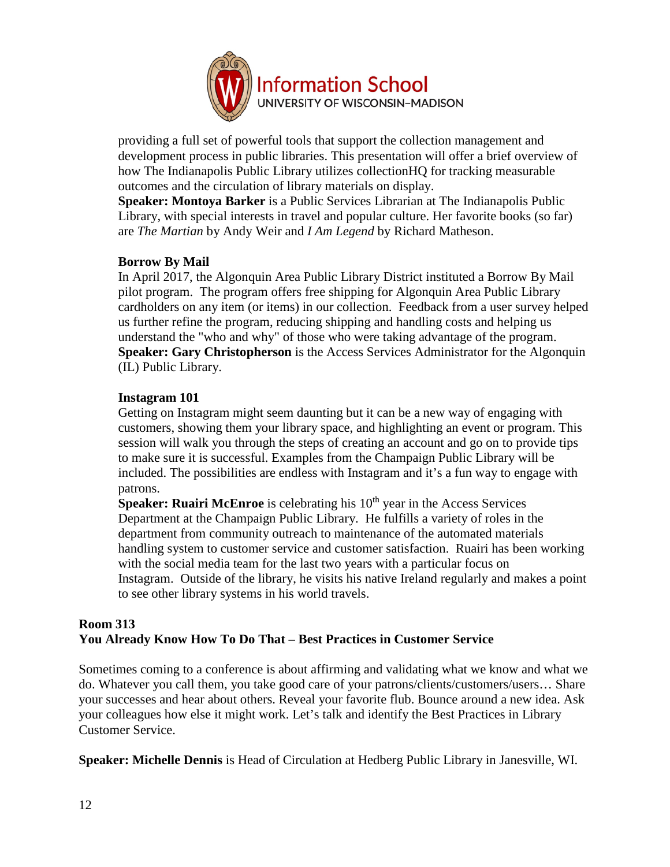

providing a full set of powerful tools that support the collection management and development process in public libraries. This presentation will offer a brief overview of how The Indianapolis Public Library utilizes collectionHQ for tracking measurable outcomes and the circulation of library materials on display.

**Speaker: Montoya Barker** is a Public Services Librarian at The Indianapolis Public Library, with special interests in travel and popular culture. Her favorite books (so far) are *The Martian* by Andy Weir and *I Am Legend* by Richard Matheson.

#### **Borrow By Mail**

In April 2017, the Algonquin Area Public Library District instituted a Borrow By Mail pilot program. The program offers free shipping for Algonquin Area Public Library cardholders on any item (or items) in our collection. Feedback from a user survey helped us further refine the program, reducing shipping and handling costs and helping us understand the "who and why" of those who were taking advantage of the program. **Speaker: Gary Christopherson** is the Access Services Administrator for the Algonquin (IL) Public Library.

#### **Instagram 101**

Getting on Instagram might seem daunting but it can be a new way of engaging with customers, showing them your library space, and highlighting an event or program. This session will walk you through the steps of creating an account and go on to provide tips to make sure it is successful. Examples from the Champaign Public Library will be included. The possibilities are endless with Instagram and it's a fun way to engage with patrons.

**Speaker: Ruairi McEnroe** is celebrating his 10<sup>th</sup> year in the Access Services Department at the Champaign Public Library. He fulfills a variety of roles in the department from community outreach to maintenance of the automated materials handling system to customer service and customer satisfaction. Ruairi has been working with the social media team for the last two years with a particular focus on Instagram. Outside of the library, he visits his native Ireland regularly and makes a point to see other library systems in his world travels.

# **Room 313 You Already Know How To Do That – Best Practices in Customer Service**

Sometimes coming to a conference is about affirming and validating what we know and what we do. Whatever you call them, you take good care of your patrons/clients/customers/users… Share your successes and hear about others. Reveal your favorite flub. Bounce around a new idea. Ask your colleagues how else it might work. Let's talk and identify the Best Practices in Library Customer Service.

**Speaker: Michelle Dennis** is Head of Circulation at Hedberg Public Library in Janesville, WI.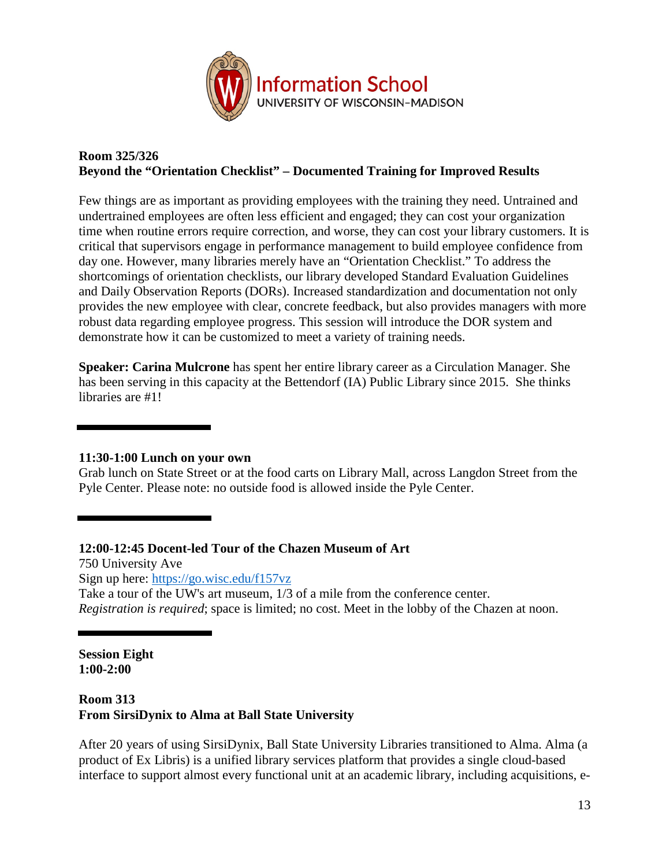

### **Room 325/326 Beyond the "Orientation Checklist" – Documented Training for Improved Results**

Few things are as important as providing employees with the training they need. Untrained and undertrained employees are often less efficient and engaged; they can cost your organization time when routine errors require correction, and worse, they can cost your library customers. It is critical that supervisors engage in performance management to build employee confidence from day one. However, many libraries merely have an "Orientation Checklist." To address the shortcomings of orientation checklists, our library developed Standard Evaluation Guidelines and Daily Observation Reports (DORs). Increased standardization and documentation not only provides the new employee with clear, concrete feedback, but also provides managers with more robust data regarding employee progress. This session will introduce the DOR system and demonstrate how it can be customized to meet a variety of training needs.

**Speaker: Carina Mulcrone** has spent her entire library career as a Circulation Manager. She has been serving in this capacity at the Bettendorf (IA) Public Library since 2015. She thinks libraries are #1!

### **11:30-1:00 Lunch on your own**

Grab lunch on State Street or at the food carts on Library Mall, across Langdon Street from the Pyle Center. Please note: no outside food is allowed inside the Pyle Center.

#### **12:00-12:45 Docent-led Tour of the Chazen Museum of Art**

750 University Ave Sign up here: [https://go.wisc.edu/f157vz](http://r20.rs6.net/tn.jsp?t=6jvvtn6ab.0.0.sgnn6aeab.0&id=preview&r=3&p=https%3A%2F%2Fgo.wisc.edu%2Ff157vz) Take a tour of the UW's art museum, 1/3 of a mile from the conference center. *Registration is required*; space is limited; no cost. Meet in the lobby of the Chazen at noon.

**Session Eight 1:00-2:00**

# **Room 313 From SirsiDynix to Alma at Ball State University**

After 20 years of using SirsiDynix, Ball State University Libraries transitioned to Alma. Alma (a product of Ex Libris) is a unified library services platform that provides a single cloud-based interface to support almost every functional unit at an academic library, including acquisitions, e-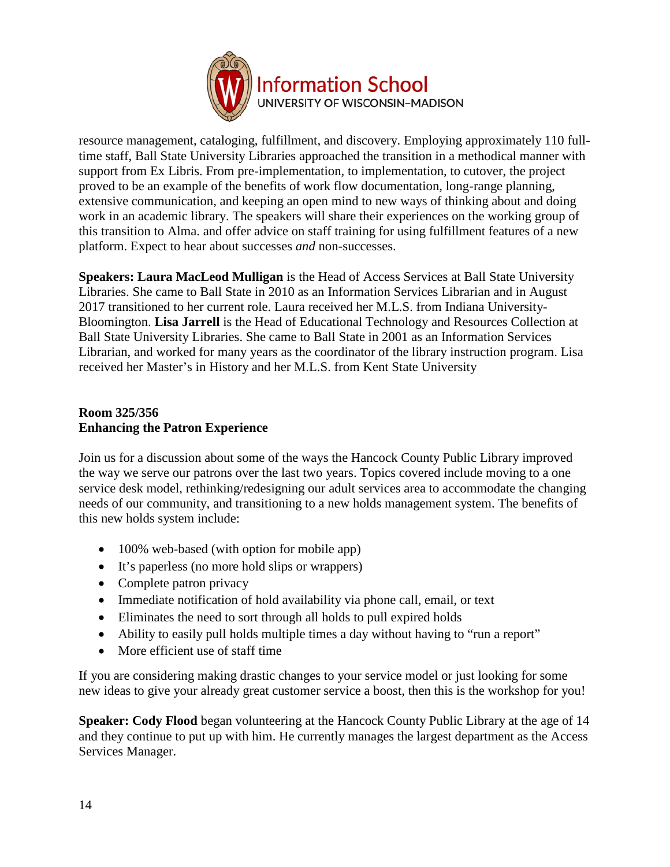

resource management, cataloging, fulfillment, and discovery. Employing approximately 110 fulltime staff, Ball State University Libraries approached the transition in a methodical manner with support from Ex Libris. From pre-implementation, to implementation, to cutover, the project proved to be an example of the benefits of work flow documentation, long-range planning, extensive communication, and keeping an open mind to new ways of thinking about and doing work in an academic library. The speakers will share their experiences on the working group of this transition to Alma. and offer advice on staff training for using fulfillment features of a new platform. Expect to hear about successes *and* non-successes.

**Speakers: Laura MacLeod Mulligan** is the Head of Access Services at Ball State University Libraries. She came to Ball State in 2010 as an Information Services Librarian and in August 2017 transitioned to her current role. Laura received her M.L.S. from Indiana University-Bloomington. **Lisa Jarrell** is the Head of Educational Technology and Resources Collection at Ball State University Libraries. She came to Ball State in 2001 as an Information Services Librarian, and worked for many years as the coordinator of the library instruction program. Lisa received her Master's in History and her M.L.S. from Kent State University

# **Room 325/356 Enhancing the Patron Experience**

Join us for a discussion about some of the ways the Hancock County Public Library improved the way we serve our patrons over the last two years. Topics covered include moving to a one service desk model, rethinking/redesigning our adult services area to accommodate the changing needs of our community, and transitioning to a new holds management system. The benefits of this new holds system include:

- 100% web-based (with option for mobile app)
- It's paperless (no more hold slips or wrappers)
- Complete patron privacy
- Immediate notification of hold availability via phone call, email, or text
- Eliminates the need to sort through all holds to pull expired holds
- Ability to easily pull holds multiple times a day without having to "run a report"
- More efficient use of staff time

If you are considering making drastic changes to your service model or just looking for some new ideas to give your already great customer service a boost, then this is the workshop for you!

**Speaker: Cody Flood** began volunteering at the Hancock County Public Library at the age of 14 and they continue to put up with him. He currently manages the largest department as the Access Services Manager.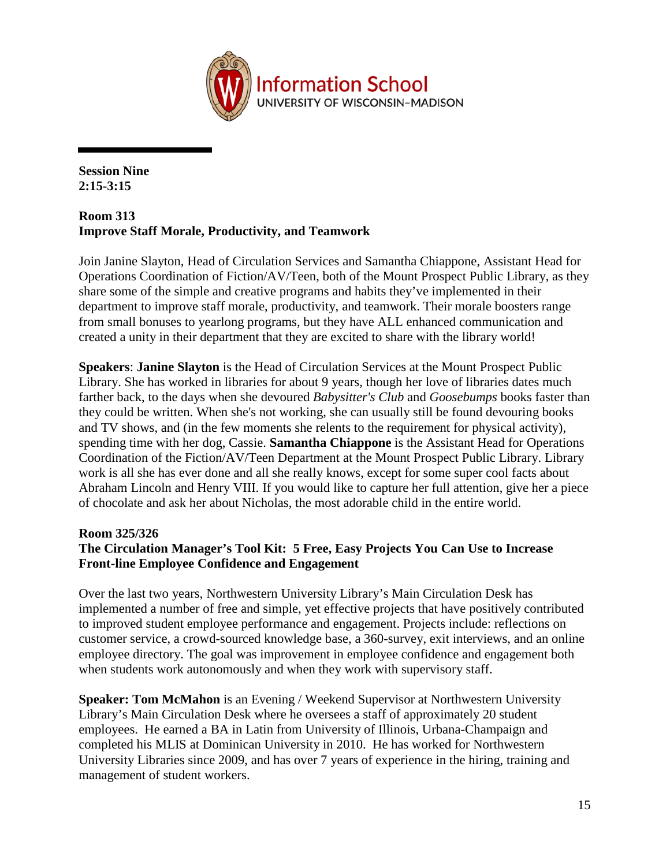

**Session Nine 2:15-3:15**

### **Room 313 Improve Staff Morale, Productivity, and Teamwork**

Join Janine Slayton, Head of Circulation Services and Samantha Chiappone, Assistant Head for Operations Coordination of Fiction/AV/Teen, both of the Mount Prospect Public Library, as they share some of the simple and creative programs and habits they've implemented in their department to improve staff morale, productivity, and teamwork. Their morale boosters range from small bonuses to yearlong programs, but they have ALL enhanced communication and created a unity in their department that they are excited to share with the library world!

**Speakers**: **Janine Slayton** is the Head of Circulation Services at the Mount Prospect Public Library. She has worked in libraries for about 9 years, though her love of libraries dates much farther back, to the days when she devoured *Babysitter's Club* and *Goosebumps* books faster than they could be written. When she's not working, she can usually still be found devouring books and TV shows, and (in the few moments she relents to the requirement for physical activity), spending time with her dog, Cassie. **Samantha Chiappone** is the Assistant Head for Operations Coordination of the Fiction/AV/Teen Department at the Mount Prospect Public Library. Library work is all she has ever done and all she really knows, except for some super cool facts about Abraham Lincoln and Henry VIII. If you would like to capture her full attention, give her a piece of chocolate and ask her about Nicholas, the most adorable child in the entire world.

### **Room 325/326**

# **The Circulation Manager's Tool Kit: 5 Free, Easy Projects You Can Use to Increase Front-line Employee Confidence and Engagement**

Over the last two years, Northwestern University Library's Main Circulation Desk has implemented a number of free and simple, yet effective projects that have positively contributed to improved student employee performance and engagement. Projects include: reflections on customer service, a crowd-sourced knowledge base, a 360-survey, exit interviews, and an online employee directory. The goal was improvement in employee confidence and engagement both when students work autonomously and when they work with supervisory staff.

**Speaker: Tom McMahon** is an Evening / Weekend Supervisor at Northwestern University Library's Main Circulation Desk where he oversees a staff of approximately 20 student employees. He earned a BA in Latin from University of Illinois, Urbana-Champaign and completed his MLIS at Dominican University in 2010. He has worked for Northwestern University Libraries since 2009, and has over 7 years of experience in the hiring, training and management of student workers.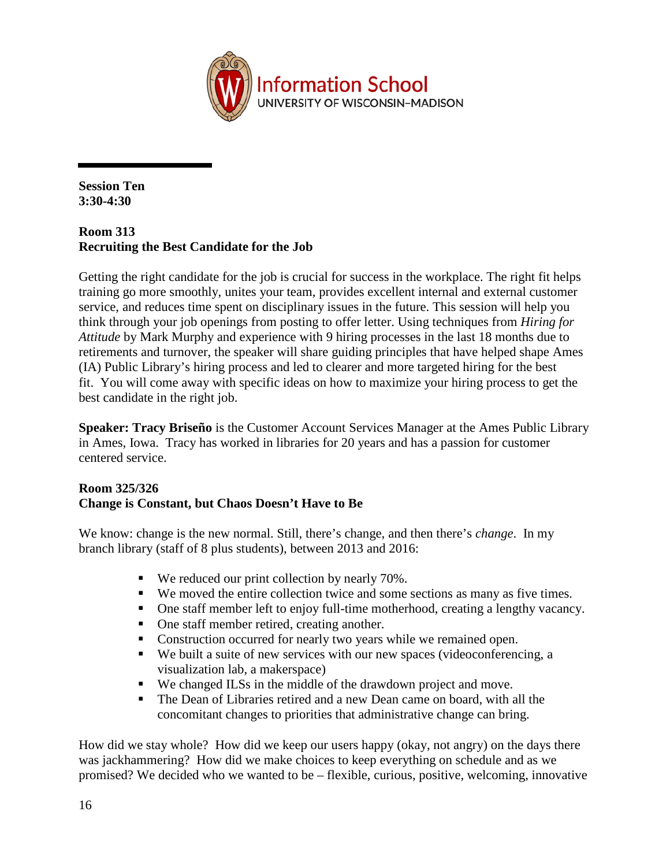

**Session Ten 3:30-4:30**

# **Room 313 Recruiting the Best Candidate for the Job**

Getting the right candidate for the job is crucial for success in the workplace. The right fit helps training go more smoothly, unites your team, provides excellent internal and external customer service, and reduces time spent on disciplinary issues in the future. This session will help you think through your job openings from posting to offer letter. Using techniques from *Hiring for Attitude* by Mark Murphy and experience with 9 hiring processes in the last 18 months due to retirements and turnover, the speaker will share guiding principles that have helped shape Ames (IA) Public Library's hiring process and led to clearer and more targeted hiring for the best fit. You will come away with specific ideas on how to maximize your hiring process to get the best candidate in the right job.

**Speaker: Tracy Briseño** is the Customer Account Services Manager at the Ames Public Library in Ames, Iowa. Tracy has worked in libraries for 20 years and has a passion for customer centered service.

### **Room 325/326 Change is Constant, but Chaos Doesn't Have to Be**

We know: change is the new normal. Still, there's change, and then there's *change*. In my branch library (staff of 8 plus students), between 2013 and 2016:

- We reduced our print collection by nearly 70%.
- We moved the entire collection twice and some sections as many as five times.
- One staff member left to enjoy full-time motherhood, creating a lengthy vacancy.
- One staff member retired, creating another.
- Construction occurred for nearly two years while we remained open.
- We built a suite of new services with our new spaces (videoconferencing, a visualization lab, a makerspace)
- We changed ILSs in the middle of the drawdown project and move.
- The Dean of Libraries retired and a new Dean came on board, with all the concomitant changes to priorities that administrative change can bring.

How did we stay whole? How did we keep our users happy (okay, not angry) on the days there was jackhammering? How did we make choices to keep everything on schedule and as we promised? We decided who we wanted to be – flexible, curious, positive, welcoming, innovative